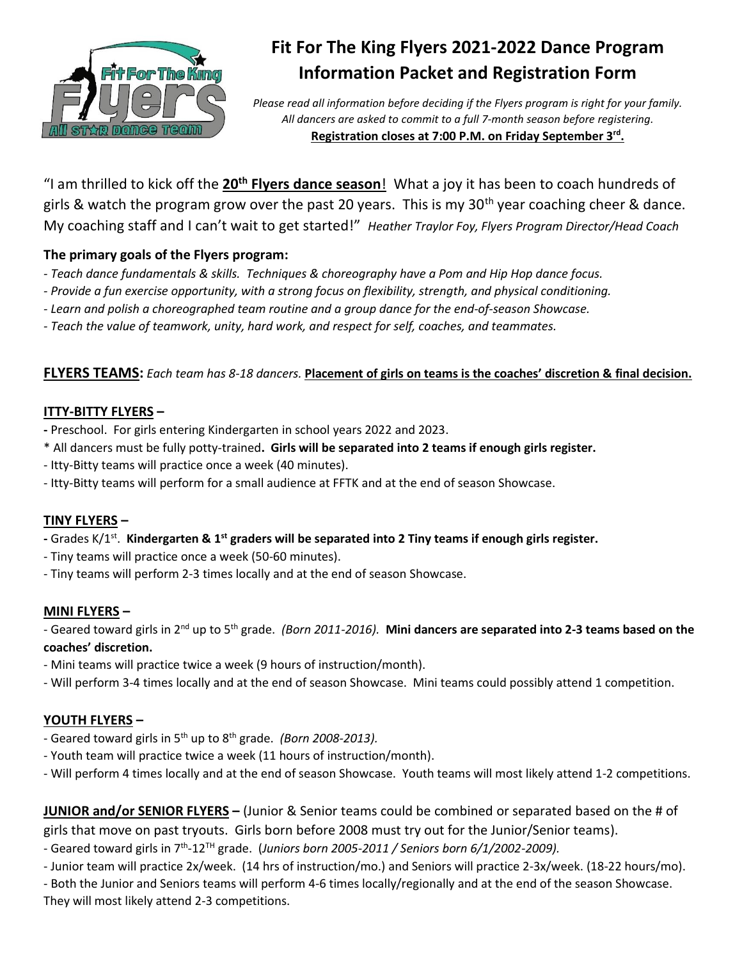

# **Fit For The King Flyers 2021-2022 Dance Program Information Packet and Registration Form**

*Please read all information before deciding if the Flyers program is right for your family. All dancers are asked to commit to a full 7-month season before registering.* **Registration closes at 7:00 P.M. on Friday September 3 rd .** 

"I am thrilled to kick off the **20th Flyers dance season**! What a joy it has been to coach hundreds of girls & watch the program grow over the past 20 years. This is my  $30<sup>th</sup>$  year coaching cheer & dance. My coaching staff and I can't wait to get started!" *Heather Traylor Foy, Flyers Program Director/Head Coach*

## **The primary goals of the Flyers program:**

- *- Teach dance fundamentals & skills. Techniques & choreography have a Pom and Hip Hop dance focus.*
- *- Provide a fun exercise opportunity, with a strong focus on flexibility, strength, and physical conditioning.*
- *- Learn and polish a choreographed team routine and a group dance for the end-of-season Showcase.*
- *- Teach the value of teamwork, unity, hard work, and respect for self, coaches, and teammates.*

#### **FLYERS TEAMS:** *Each team has 8-18 dancers.* **Placement of girls on teams is the coaches' discretion & final decision.**

#### **ITTY-BITTY FLYERS –**

- **-** Preschool. For girls entering Kindergarten in school years 2022 and 2023.
- \* All dancers must be fully potty-trained**. Girls will be separated into 2 teams if enough girls register.**
- Itty-Bitty teams will practice once a week (40 minutes).
- Itty-Bitty teams will perform for a small audience at FFTK and at the end of season Showcase.

#### **TINY FLYERS –**

- **-** Grades K/1st . **Kindergarten & 1st graders will be separated into 2 Tiny teams if enough girls register.**
- Tiny teams will practice once a week (50-60 minutes).
- Tiny teams will perform 2-3 times locally and at the end of season Showcase.

#### **MINI FLYERS –**

- Geared toward girls in 2nd up to 5th grade. *(Born 2011-2016).* **Mini dancers are separated into 2-3 teams based on the coaches' discretion.**

- Mini teams will practice twice a week (9 hours of instruction/month).
- Will perform 3-4 times locally and at the end of season Showcase. Mini teams could possibly attend 1 competition.

## **YOUTH FLYERS –**

- Geared toward girls in 5th up to 8th grade. *(Born 2008-2013).*
- Youth team will practice twice a week (11 hours of instruction/month).
- Will perform 4 times locally and at the end of season Showcase. Youth teams will most likely attend 1-2 competitions.

**JUNIOR and/or SENIOR FLYERS –** (Junior & Senior teams could be combined or separated based on the # of girls that move on past tryouts. Girls born before 2008 must try out for the Junior/Senior teams).

- Geared toward girls in 7<sup>th</sup>-12<sup>TH</sup> grade. (Juniors born 2005-2011 / Seniors born 6/1/2002-2009).
- Junior team will practice 2x/week. (14 hrs of instruction/mo.) and Seniors will practice 2-3x/week. (18-22 hours/mo).

- Both the Junior and Seniors teams will perform 4-6 times locally/regionally and at the end of the season Showcase. They will most likely attend 2-3 competitions.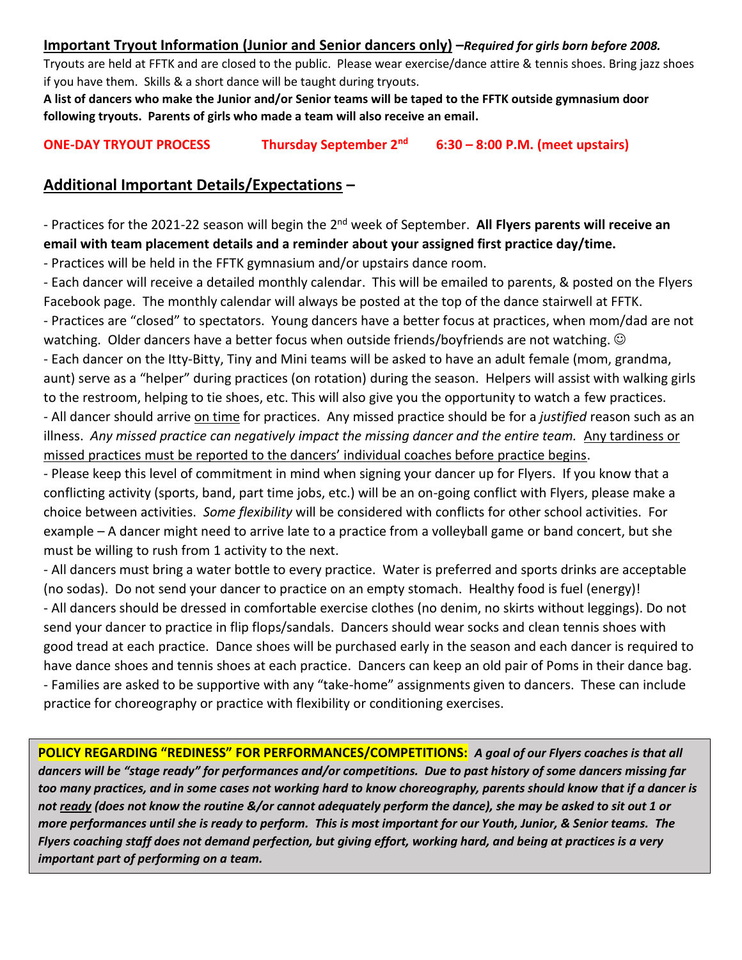#### **Important Tryout Information (Junior and Senior dancers only) –***Required for girls born before 2008.*

Tryouts are held at FFTK and are closed to the public. Please wear exercise/dance attire & tennis shoes. Bring jazz shoes if you have them. Skills & a short dance will be taught during tryouts.

**A list of dancers who make the Junior and/or Senior teams will be taped to the FFTK outside gymnasium door following tryouts. Parents of girls who made a team will also receive an email.**

**ONE-DAY TRYOUT PROCESS Thursday September 2nd 6:30 – 8:00 P.M. (meet upstairs)**

## **Additional Important Details/Expectations –**

- Practices for the 2021-22 season will begin the 2<sup>nd</sup> week of September. **All Flyers parents will receive an email with team placement details and a reminder about your assigned first practice day/time.**

- Practices will be held in the FFTK gymnasium and/or upstairs dance room.

- Each dancer will receive a detailed monthly calendar. This will be emailed to parents, & posted on the Flyers Facebook page. The monthly calendar will always be posted at the top of the dance stairwell at FFTK. - Practices are "closed" to spectators. Young dancers have a better focus at practices, when mom/dad are not watching. Older dancers have a better focus when outside friends/boyfriends are not watching.  $\odot$ - Each dancer on the Itty-Bitty, Tiny and Mini teams will be asked to have an adult female (mom, grandma, aunt) serve as a "helper" during practices (on rotation) during the season. Helpers will assist with walking girls to the restroom, helping to tie shoes, etc. This will also give you the opportunity to watch a few practices. - All dancer should arrive on time for practices. Any missed practice should be for a *justified* reason such as an illness. Any missed practice can negatively impact the missing dancer and the entire team. Any tardiness or missed practices must be reported to the dancers' individual coaches before practice begins.

- Please keep this level of commitment in mind when signing your dancer up for Flyers. If you know that a conflicting activity (sports, band, part time jobs, etc.) will be an on-going conflict with Flyers, please make a choice between activities. *Some flexibility* will be considered with conflicts for other school activities. For example – A dancer might need to arrive late to a practice from a volleyball game or band concert, but she must be willing to rush from 1 activity to the next.

- All dancers must bring a water bottle to every practice. Water is preferred and sports drinks are acceptable (no sodas). Do not send your dancer to practice on an empty stomach. Healthy food is fuel (energy)! - All dancers should be dressed in comfortable exercise clothes (no denim, no skirts without leggings). Do not send your dancer to practice in flip flops/sandals. Dancers should wear socks and clean tennis shoes with good tread at each practice. Dance shoes will be purchased early in the season and each dancer is required to have dance shoes and tennis shoes at each practice. Dancers can keep an old pair of Poms in their dance bag. - Families are asked to be supportive with any "take-home" assignments given to dancers. These can include practice for choreography or practice with flexibility or conditioning exercises.

**POLICY REGARDING "REDINESS" FOR PERFORMANCES/COMPETITIONS:** *A goal of our Flyers coaches is that all dancers will be "stage ready" for performances and/or competitions. Due to past history of some dancers missing far too many practices, and in some cases not working hard to know choreography, parents should know that if a dancer is not ready (does not know the routine &/or cannot adequately perform the dance), she may be asked to sit out 1 or more performances until she is ready to perform. This is most important for our Youth, Junior, & Senior teams. The Flyers coaching staff does not demand perfection, but giving effort, working hard, and being at practices is a very important part of performing on a team.*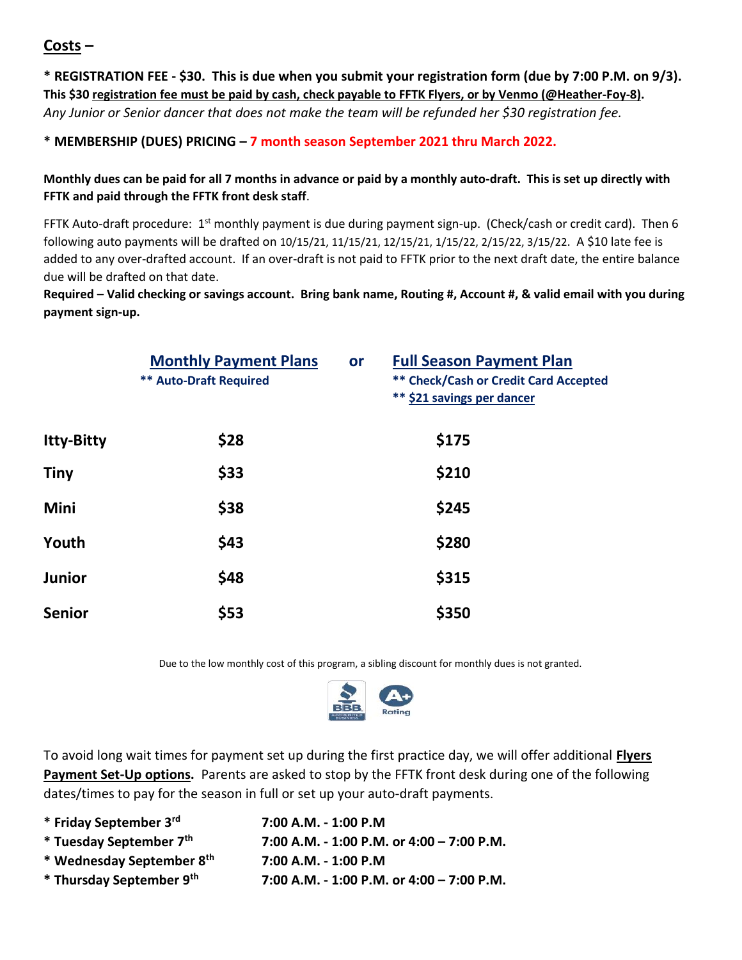**Costs –**

**\* REGISTRATION FEE - \$30. This is due when you submit your registration form (due by 7:00 P.M. on 9/3). This \$30 registration fee must be paid by cash, check payable to FFTK Flyers, or by Venmo (@Heather-Foy-8).** *Any Junior or Senior dancer that does not make the team will be refunded her \$30 registration fee.* 

## **\* MEMBERSHIP (DUES) PRICING – 7 month season September 2021 thru March 2022.**

## **Monthly dues can be paid for all 7 months in advance or paid by a monthly auto-draft. This is set up directly with FFTK and paid through the FFTK front desk staff**.

FFTK Auto-draft procedure: 1<sup>st</sup> monthly payment is due during payment sign-up. (Check/cash or credit card). Then 6 following auto payments will be drafted on 10/15/21, 11/15/21, 12/15/21, 1/15/22, 2/15/22, 3/15/22. A \$10 late fee is added to any over-drafted account. If an over-draft is not paid to FFTK prior to the next draft date, the entire balance due will be drafted on that date.

**Required – Valid checking or savings account. Bring bank name, Routing #, Account #, & valid email with you during payment sign-up.**

|                   | <b>Monthly Payment Plans</b><br><b>** Auto-Draft Required</b> | or | <b>Full Season Payment Plan</b><br><b>** Check/Cash or Credit Card Accepted</b><br>** \$21 savings per dancer |
|-------------------|---------------------------------------------------------------|----|---------------------------------------------------------------------------------------------------------------|
| <b>Itty-Bitty</b> | \$28                                                          |    | \$175                                                                                                         |
| <b>Tiny</b>       | \$33                                                          |    | \$210                                                                                                         |
| Mini              | \$38                                                          |    | \$245                                                                                                         |
| Youth             | \$43                                                          |    | \$280                                                                                                         |
| <b>Junior</b>     | \$48                                                          |    | \$315                                                                                                         |
| <b>Senior</b>     | \$53                                                          |    | \$350                                                                                                         |

Due to the low monthly cost of this program, a sibling discount for monthly dues is not granted.



To avoid long wait times for payment set up during the first practice day, we will offer additional **Flyers Payment Set-Up options.** Parents are asked to stop by the FFTK front desk during one of the following dates/times to pay for the season in full or set up your auto-draft payments.

| * Friday September 3rd    | 7:00 A.M. - 1:00 P.M                        |
|---------------------------|---------------------------------------------|
| * Tuesday September 7th   | 7:00 A.M. - 1:00 P.M. or $4:00 - 7:00$ P.M. |
| * Wednesday September 8th | 7:00 A.M. - 1:00 P.M                        |
| * Thursday September 9th  | 7:00 A.M. - 1:00 P.M. or $4:00 - 7:00$ P.M. |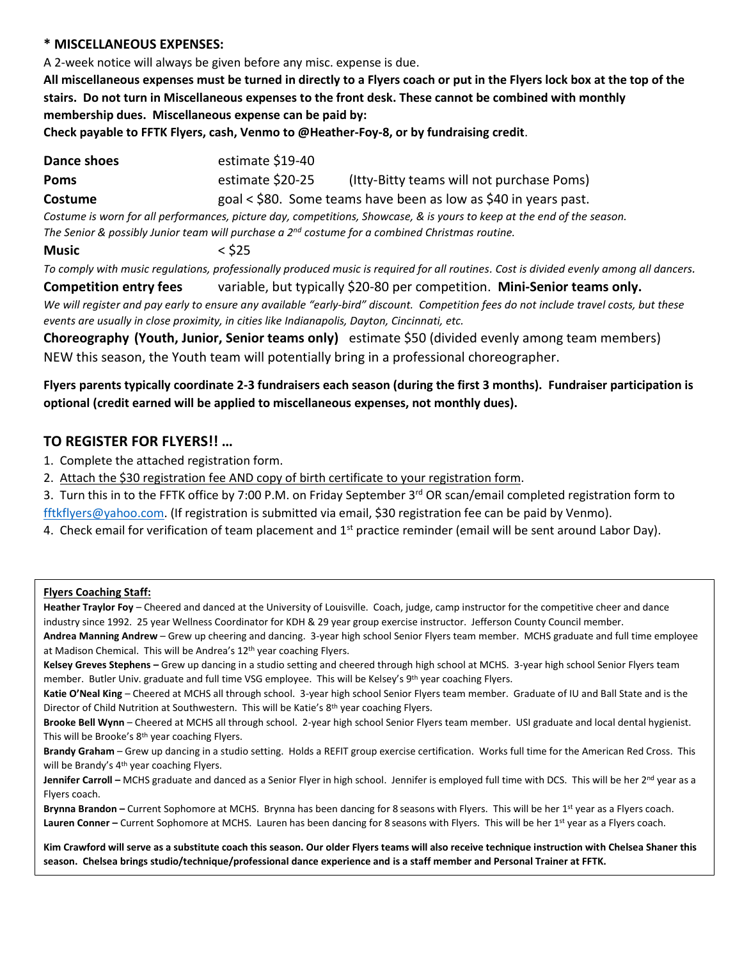#### **\* MISCELLANEOUS EXPENSES:**

A 2-week notice will always be given before any misc. expense is due.

**All miscellaneous expenses must be turned in directly to a Flyers coach or put in the Flyers lock box at the top of the stairs. Do not turn in Miscellaneous expenses to the front desk. These cannot be combined with monthly membership dues. Miscellaneous expense can be paid by:**

**Check payable to FFTK Flyers, cash, Venmo to @Heather-Foy-8, or by fundraising credit**.

| Dance shoes                                                                                                             | estimate \$19-40                                                |                                           |  |  |  |
|-------------------------------------------------------------------------------------------------------------------------|-----------------------------------------------------------------|-------------------------------------------|--|--|--|
| Poms                                                                                                                    | estimate \$20-25                                                | (Itty-Bitty teams will not purchase Poms) |  |  |  |
| Costume                                                                                                                 | goal < \$80. Some teams have been as low as \$40 in years past. |                                           |  |  |  |
| Costume is worn for all performances, picture day, competitions, Showcase, & is yours to keep at the end of the season. |                                                                 |                                           |  |  |  |
| The Senior & possibly Junior team will purchase a $2^{nd}$ costume for a combined Christmas routine.                    |                                                                 |                                           |  |  |  |
|                                                                                                                         |                                                                 |                                           |  |  |  |

**Music** < \$25

*To comply with music regulations, professionally produced music is required for all routines. Cost is divided evenly among all dancers.* 

**Competition entry fees** variable, but typically \$20-80 per competition. **Mini-Senior teams only.** *We will register and pay early to ensure any available "early-bird" discount. Competition fees do not include travel costs, but these events are usually in close proximity, in cities like Indianapolis, Dayton, Cincinnati, etc.*

**Choreography (Youth, Junior, Senior teams only)** estimate \$50 (divided evenly among team members) NEW this season, the Youth team will potentially bring in a professional choreographer.

**Flyers parents typically coordinate 2-3 fundraisers each season (during the first 3 months). Fundraiser participation is optional (credit earned will be applied to miscellaneous expenses, not monthly dues).** 

## **TO REGISTER FOR FLYERS!! …**

- 1. Complete the attached registration form.
- 2. Attach the \$30 registration fee AND copy of birth certificate to your registration form.

3. Turn this in to the FFTK office by 7:00 P.M. on Friday September 3<sup>rd</sup> OR scan/email completed registration form to [fftkflyers@yahoo.com.](mailto:fftkflyers@yahoo.com) (If registration is submitted via email, \$30 registration fee can be paid by Venmo).

4. Check email for verification of team placement and  $1<sup>st</sup>$  practice reminder (email will be sent around Labor Day).

# **Plyers Coaching Staff:** Figure For Heather Foundations of the Email of the State – 812-701-2579 (Figure 1)  $\frac{1}{2}$

Heather Traylor Foy – Cheered and danced at the University of Louisville. Coach, judge, camp instructor for the competitive cheer and dance industry since 1992. 25 year Wellness Coordinator for KDH & 29 year group exercise instructor. Jefferson County Council member.

**Andrea Manning Andrew** – Grew up cheering and dancing. 3-year high school Senior Flyers team member. MCHS graduate and full time employee at Madison Chemical. This will be Andrea's 12<sup>th</sup> year coaching Flyers.

**Kelsey Greves Stephens –** Grew up dancing in a studio setting and cheered through high school at MCHS. 3-year high school Senior Flyers team member. Butler Univ. graduate and full time VSG employee. This will be Kelsey's 9<sup>th</sup> year coaching Flyers.

**Katie O'Neal King** – Cheered at MCHS all through school. 3-year high school Senior Flyers team member. Graduate of IU and Ball State and is the Director of Child Nutrition at Southwestern. This will be Katie's 8<sup>th</sup> year coaching Flyers.

**Brooke Bell Wynn** – Cheered at MCHS all through school. 2-year high school Senior Flyers team member. USI graduate and local dental hygienist. This will be Brooke's 8<sup>th</sup> year coaching Flyers.

**Brandy Graham** – Grew up dancing in a studio setting. Holds a REFIT group exercise certification. Works full time for the American Red Cross. This will be Brandy's 4<sup>th</sup> year coaching Flyers.

Jennifer Carroll – MCHS graduate and danced as a Senior Flyer in high school. Jennifer is employed full time with DCS. This will be her 2<sup>nd</sup> year as a continent Carroll – MCHS graduate and danced as a Flyers coach. The confirm you know you know you know you know you know you know you know you know you know you Flyers coach.

**Brynna Brandon –** Current Sophomore at MCHS. Brynna has been dancing for 8 seasons with Flyers. This will be her 1st year as a Flyers coach. **Lauren Conner –** Current Sophomore at MCHS. Lauren has been dancing for 8 seasons with Flyers. This will be her 1<sup>st</sup> year as a Flyers coach.

Kim Crawford will serve as a substitute coach this season. Our older Flyers teams will also receive technique instruction with Chelsea Shaner this **season. Chelsea brings studio/technique/professional dance experience and is a staff member and Personal Trainer at FFTK.**